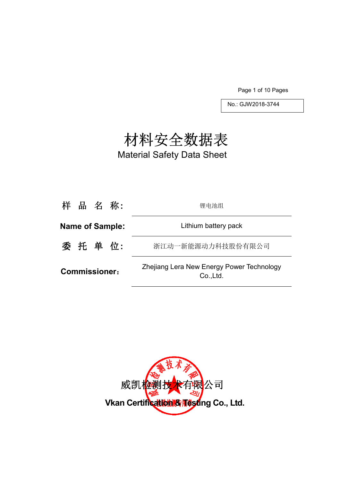Page 1 of 10 Pages

No.: GJW2018-3744

# 材料安全数据表

Material Safety Data Sheet

| 样 品 名 称:               | 锂电池组                                                   |
|------------------------|--------------------------------------------------------|
| <b>Name of Sample:</b> | Lithium battery pack                                   |
| 委 托 单 位:               | 浙江动一新能源动力科技股份有限公司                                      |
| <b>Commissioner:</b>   | Zhejiang Lera New Energy Power Technology<br>Co., Ltd. |

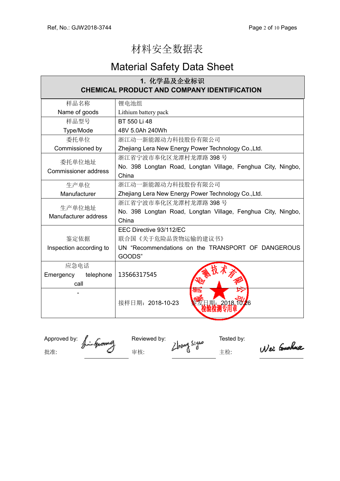## 材料安全数据表

## Material Safety Data Sheet

| 1. 化学品及企业标识                                        |                                                              |  |  |  |
|----------------------------------------------------|--------------------------------------------------------------|--|--|--|
| <b>CHEMICAL PRODUCT AND COMPANY IDENTIFICATION</b> |                                                              |  |  |  |
| 样品名称                                               | 锂电池组                                                         |  |  |  |
| Name of goods                                      | Lithium battery pack                                         |  |  |  |
| 样品型号                                               | BT 550 Li 48                                                 |  |  |  |
| Type/Mode                                          | 48V 5.0Ah 240Wh                                              |  |  |  |
| 委托单位                                               | 浙江动一新能源动力科技股份有限公司                                            |  |  |  |
| Commissioned by                                    | Zhejiang Lera New Energy Power Technology Co., Ltd.          |  |  |  |
| 委托单位地址                                             | 浙江省宁波市奉化区龙潭村龙潭路 398号                                         |  |  |  |
| <b>Commissioner address</b>                        | No. 398 Longtan Road, Longtan Village, Fenghua City, Ningbo, |  |  |  |
|                                                    | China                                                        |  |  |  |
| 生产单位                                               | 浙江动一新能源动力科技股份有限公司                                            |  |  |  |
| Manufacturer                                       | Zhejiang Lera New Energy Power Technology Co., Ltd.          |  |  |  |
| 生产单位地址                                             | 浙江省宁波市奉化区龙潭村龙潭路 398号                                         |  |  |  |
| Manufacturer address                               | No. 398 Longtan Road, Longtan Village, Fenghua City, Ningbo, |  |  |  |
|                                                    | China                                                        |  |  |  |
|                                                    | EEC Directive 93/112/EC                                      |  |  |  |
| 鉴定依据                                               | 联合国《关于危险品货物运输的建议书》                                           |  |  |  |
| Inspection according to                            | UN "Recommendations on the TRANSPORT OF DANGEROUS            |  |  |  |
|                                                    | GOODS"                                                       |  |  |  |
| 应急电话                                               |                                                              |  |  |  |
| Emergency<br>telephone                             | 13566317545                                                  |  |  |  |
| call                                               |                                                              |  |  |  |
|                                                    | राष<br>接样日期: 2018-10-23<br>1期: 2018.10.26                    |  |  |  |
|                                                    |                                                              |  |  |  |

Approved by:  $\int_{\mathbb{R}}$  and  $\int_{\mathbb{R}}$  Reviewed by: the state of the Tested by: 批准: インタンタンタンタンタン 宇 はんこう こうしょう はんこうしょう せいじょう まんこうしゃ エンジョン こうしゅうしゃ こうしゅうしゃ はんこうしゃ こうしゃ こうしゃ こうしゃ こうしゃ おんこうしゃ

Wei Gushua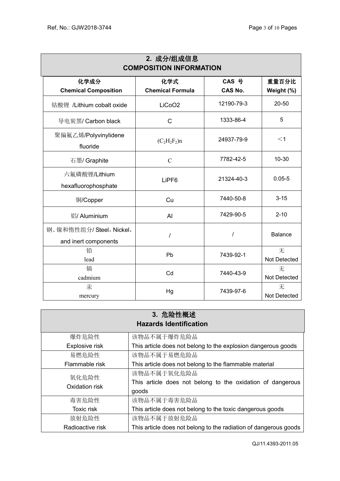| 2. 成分/组成信息<br><b>COMPOSITION INFORMATION</b>     |                                |                         |                     |  |  |
|--------------------------------------------------|--------------------------------|-------------------------|---------------------|--|--|
| 化学成分<br><b>Chemical Composition</b>              | 化学式<br><b>Chemical Formula</b> | CAS 号<br><b>CAS No.</b> | 重量百分比<br>Weight (%) |  |  |
| 钴酸锂 /Lithium cobalt oxide                        | LiCoO <sub>2</sub>             | 12190-79-3              | 20-50               |  |  |
| 导电炭黑/ Carbon black                               | $\mathsf{C}$                   | 1333-86-4               | 5                   |  |  |
| 聚偏氟乙烯/Polyvinylidene<br>fluoride                 | $(C_2H_2F_2)n$                 | 24937-79-9              | $<$ 1               |  |  |
| 石墨/ Graphite                                     | $\mathcal{C}$                  | 7782-42-5               | $10 - 30$           |  |  |
| 六氟磷酸锂/Lithium<br>hexafluorophosphate             | LiPF <sub>6</sub>              | 21324-40-3              | $0.05 - 5$          |  |  |
| 铜/Copper                                         | Cu                             | 7440-50-8               | $3 - 15$            |  |  |
| 铝/ Aluminium                                     | Al                             | 7429-90-5               | $2 - 10$            |  |  |
| 钢、镍和惰性组分/ Steel, Nickel,<br>and inert components | I                              | $\prime$                | <b>Balance</b>      |  |  |
| 铅<br>lead                                        | Pb                             | 7439-92-1               | 无<br>Not Detected   |  |  |
| 镉<br>cadmium                                     | Cd                             | 7440-43-9               | 无<br>Not Detected   |  |  |
| 汞<br>mercury                                     | Hg                             | 7439-97-6               | 无<br>Not Detected   |  |  |

| 3. 危险性概述<br><b>Hazards Identification</b> |                                                                                    |  |  |  |
|-------------------------------------------|------------------------------------------------------------------------------------|--|--|--|
| 爆炸危险性                                     | 该物品不属于爆炸危险品                                                                        |  |  |  |
| Explosive risk                            | This article does not belong to the explosion dangerous goods                      |  |  |  |
| 易燃危险性                                     | 该物品不属于易燃危险品                                                                        |  |  |  |
| Flammable risk                            | This article does not belong to the flammable material                             |  |  |  |
| 氧化危险性<br>Oxidation risk                   | 该物品不属于氧化危险品<br>This article does not belong to the oxidation of dangerous<br>goods |  |  |  |
| 毒害危险性                                     | 该物品不属于毒害危险品                                                                        |  |  |  |
| <b>Toxic risk</b>                         | This article does not belong to the toxic dangerous goods                          |  |  |  |
| 放射危险性                                     | 该物品不属于放射危险品                                                                        |  |  |  |
| Radioactive risk                          | This article does not belong to the radiation of dangerous goods                   |  |  |  |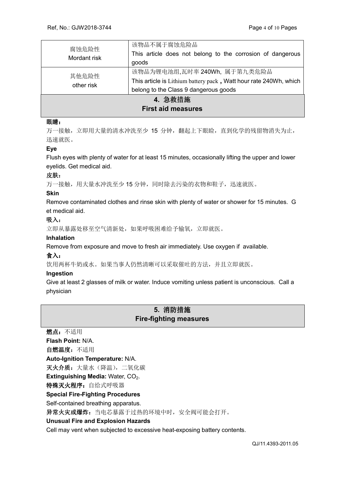| 腐蚀危险性<br>Mordant risk     | 该物品不属于腐蚀危险品                                                       |  |
|---------------------------|-------------------------------------------------------------------|--|
|                           | This article does not belong to the corrosion of dangerous        |  |
|                           | goods                                                             |  |
| 其他危险性<br>other risk       | 该物品为锂电池组,瓦时率 240Wh, 属于第九类危险品                                      |  |
|                           | This article is Lithium battery pack, Watt hour rate 240Wh, which |  |
|                           | belong to the Class 9 dangerous goods                             |  |
| 4. 急救措施                   |                                                                   |  |
| <b>First aid measures</b> |                                                                   |  |

## 眼睛:

万一接触,立即用大量的清水冲洗至少 15 分钟,翻起上下眼睑,直到化学的残留物消失为止, 迅速就医。

## **Eye**

Flush eyes with plenty of water for at least 15 minutes, occasionally lifting the upper and lower eyelids. Get medical aid.

#### 皮肤:

万一接触,用大量水冲洗至少15分钟,同时除去污染的衣物和鞋子,迅速就医。

#### **Skin**

Remove contaminated clothes and rinse skin with plenty of water or shower for 15 minutes. G et medical aid.

## 吸入:

立即从暴露处移至空气清新处,如果呼吸困难给予输氧,立即就医。

#### **Inhalation**

Remove from exposure and move to fresh air immediately. Use oxygen if available.

## 食入:

饮用两杯牛奶或水。如果当事人仍然清晰可以采取催吐的方法,并且立即就医。

#### **Ingestion**

Give at least 2 glasses of milk or water. Induce vomiting unless patient is unconscious. Call a physician

## **5.** 消防措施 **Fire-fighting measures**

燃点:不适用 **Flash Point:** N/A. 自燃温度:不适用 **Auto-Ignition Temperature:** N/A. 灭火介质: 大量水(降温), 二氧化碳 **Extinguishing Media: Water, CO<sub>2</sub>.** 特殊灭火程序: 自给式呼吸器 **Special Fire-Fighting Procedures**  Self-contained breathing apparatus. 异常火灾或爆炸: 当电芯暴露于过热的环境中时, 安全阀可能会打开。 **Unusual Fire and Explosion Hazards**  Cell may vent when subjected to excessive heat-exposing battery contents.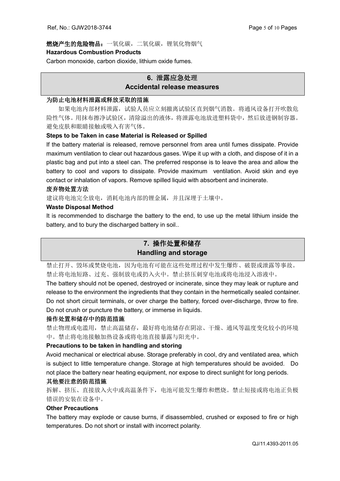## 燃烧产生的危险物品:一氧化碳,二氧化碳,锂氧化物烟气 **Hazardous Combustion Products**

Carbon monoxide, carbon dioxide, lithium oxide fumes.

## **6.** 泄露应急处理 **Accidental release measures**

## 为防止电池材料泄露或释放采取的措施

如果电池内部材料泄露,试验人员应立刻撤离试验区直到烟气消散。将通风设备打开吹散危 险性气体。用抹布擦净试验区,清除溢出的液体,将泄露电池放进塑料袋中,然后放进钢制容器。 避免皮肤和眼睛接触或吸入有害气体。

## **Steps to be Taken in case Material is Released or Spilled**

If the battery material is released, remove personnel from area until fumes dissipate. Provide maximum ventilation to clear out hazardous gases. Wipe it up with a cloth, and dispose of it in a plastic bag and put into a steel can. The preferred response is to leave the area and allow the battery to cool and vapors to dissipate. Provide maximum ventilation. Avoid skin and eye contact or inhalation of vapors. Remove spilled liquid with absorbent and incinerate.

## 废弃物处置方法

建议将电池完全放电,消耗电池内部的锂金属,并且深埋于土壤中。

## **Waste Disposal Method**

It is recommended to discharge the battery to the end, to use up the metal lithium inside the battery, and to bury the discharged battery in soil..

## **7.** 操作处置和储存 **Handling and storage**

禁止打开、毁坏或焚烧电池,因为电池有可能在这些处理过程中发生爆炸、破裂或泄露等事故。 禁止将电池短路、过充、强制放电或扔入火中。禁止挤压刺穿电池或将电池浸入溶液中。

The battery should not be opened, destroyed or incinerate, since they may leak or rupture and release to the environment the ingredients that they contain in the hermetically sealed container. Do not short circuit terminals, or over charge the battery, forced over-discharge, throw to fire. Do not crush or puncture the battery, or immerse in liquids.

## 操作处置和储存中的防范措施

禁止物理或电滥用,禁止高温储存,最好将电池储存在阴凉、干燥、通风等温度变化较小的环境 中。禁止将电池接触加热设备或将电池直接暴露与阳光中。

## **Precautions to be taken in handling and storing**

Avoid mechanical or electrical abuse. Storage preferably in cool, dry and ventilated area, which is subject to little temperature change. Storage at high temperatures should be avoided. Do not place the battery near heating equipment, nor expose to direct sunlight for long periods.

## 其他要注意的防范措施

拆解、挤压、直接放入火中或高温条件下,电池可能发生爆炸和燃烧。禁止短接或将电池正负极 错误的安装在设备中。

## **Other Precautions**

The battery may explode or cause burns, if disassembled, crushed or exposed to fire or high temperatures. Do not short or install with incorrect polarity.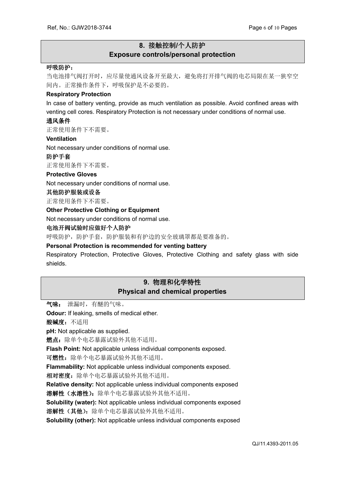## **8.** 接触控制**/**个人防护 **Exposure controls/personal protection**

#### 呼吸防护:

当电池排气阀打开时,应尽量使通风设备开至最大,避免将打开排气阀的电芯局限在某一狭窄空 间内。正常操作条件下,呼吸保护是不必要的。

#### **Respiratory Protection**

In case of battery venting, provide as much ventilation as possible. Avoid confined areas with venting cell cores. Respiratory Protection is not necessary under conditions of normal use.

#### 通风条件

正常使用条件下不需要。

## **Ventilation**

Not necessary under conditions of normal use.

#### 防护手套

正常使用条件下不需要。

#### **Protective Gloves**

Not necessary under conditions of normal use.

#### 其他防护服装或设备

正常使用条件下不需要。

#### **Other Protective Clothing or Equipment**

Not necessary under conditions of normal use.

#### 电池开阀试验时应做好个人防护

呼吸防护,防护手套,防护服装和有护边的安全玻璃罩都是要准备的。

#### **Personal Protection is recommended for venting battery**

Respiratory Protection, Protective Gloves, Protective Clothing and safety glass with side shields.

## **9.** 物理和化学特性 **Physical and chemical properties**

气味: 泄漏时,有醚的气味。

**Odour:** If leaking, smells of medical ether.

酸碱度:不适用

**pH:** Not applicable as supplied.

燃点: 除单个电芯暴露试验外其他不适用。

**Flash Point:** Not applicable unless individual components exposed.

可燃性: 除单个电芯暴露试验外其他不适用。

**Flammability:** Not applicable unless individual components exposed.

相对密度:除单个电芯暴露试验外其他不适用。

**Relative density:** Not applicable unless individual components exposed

溶解性(水溶性):除单个电芯暴露试验外其他不适用。

**Solubility (water):** Not applicable unless individual components exposed

溶解性(其他):除单个电芯暴露试验外其他不适用。

**Solubility (other):** Not applicable unless individual components exposed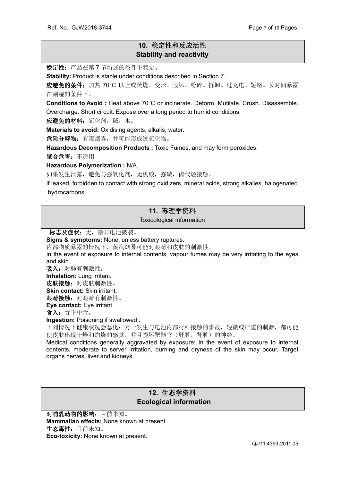## **10.** 稳定性和反应活性 **Stability and reactivity**

稳定性:产品在第 7 节所述的条件下稳定。

**Stability:** Product is stable under conditions described in Section 7.

应避免的条件:加热 70°C 以上或焚烧。变形。毁坏。粉碎。拆卸。过充电。短路。长时间暴露 在潮湿的条件下。

**Conditions to Avoid :** Heat above 70°C or incinerate. Deform. Mutilate. Crush. Disassemble. Overcharge. Short circuit. Expose over a long period to humid conditions.

应避免的材料:氧化剂,碱,水。

**Materials to avoid:** Oxidising agents, alkalis, water.

危险分解物:有毒烟雾,并可能形成过氧化物。

**Hazardous Decomposition Products :** Toxic Fumes, and may form peroxides.

聚合危害:不适用

**Hazardous Polymerization :** N/A.

如果发生泄露,避免与强氧化剂,无机酸,强碱,卤代烃接触。

If leaked, forbidden to contact with strong oxidizers, mineral acids, strong alkalies, halogenated hydrocarbons.

## **11.** 毒理学资料

Toxicological information

标志及症状: 无, 除非电池破裂。

**Signs & symptoms:** None, unless battery ruptures.

内部物质暴露的情况下,蒸汽烟雾可能对眼睛和皮肤的刺激性。

In the event of exposure to internal contents, vapour fumes may be very irritating to the eyes and skin.

吸入: 对肺有刺激性。

**Inhalation:** Lung irritant.

皮肤接触: 对皮肤刺激性。 **Skin contact:** Skin irritant.

眼睛接触: 对眼睛有刺激性。

**Eye contact:** Eye irritant

食入:吞下中毒。

**Ingestion:** Poisoning if swallowed..

下列情况下健康状况会恶化:万一发生与电池内部材料接触的事故,轻微或严重的刺激,都可能 使皮肤出现干燥和灼烧的感觉,并且损坏靶器官(肝脏,肾脏)的神经。

Medical conditions generally aggravated by exposure: In the event of exposure to internal contents, moderate to server irritation, burning and dryness of the skin may occur, Target organs nerves, liver and kidneys.

## **12.** 生态学资料  **Ecological information**

对哺乳动物的影响:目前未知。 **Mammalian effects:** None known at present. 生态毒性:目前未知。 **Eco-toxicity:** None known at present.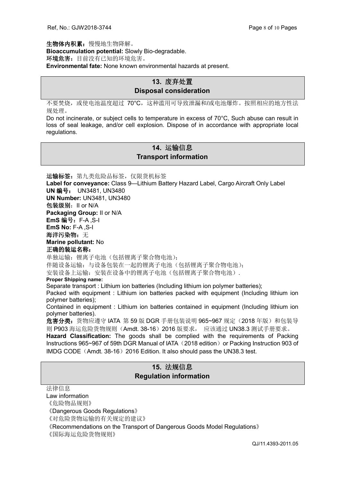生物体内积累:慢慢地生物降解。 **Bioaccumulation potential:** Slowly Bio-degradable. 环境危害: 目前没有已知的环境危害。 **Environmental fate:** None known environmental hazards at present.

## **13.** 废弃处置 **Disposal consideration**

不要焚烧,或使电池温度超过 70°C,这种滥用可导致泄漏和/或电池爆炸。按照相应的地方性法 规处理。

Do not incinerate, or subject cells to temperature in excess of 70°C, Such abuse can result in loss of seal leakage, and/or cell explosion. Dispose of in accordance with appropriate local regulations.

## **14.** 运输信息 **Transport information**

运输标签: 第九类危险品标签, 仅限货机标签 **Label for conveyance:** Class 9—Lithium Battery Hazard Label, Cargo Aircraft Only Label **UN** 编号: UN3481, UN3480 **UN Number:** UN3481, UN3480 包装级别:II or N/A **Packaging Group:** II or N/A **EmS** 编号:F-A ,S-I **EmS No:** F-A ,S-I 海洋污染物: 无 **Marine pollutant:** No 正确的装运名称: 单独运输: 锂离子电池(包括锂离子聚合物电池);

伴随设备运输:与设备包装在一起的锂离子电池(包括锂离子聚合物电池);

安装设备上运输:安装在设备中的锂离子电池(包括锂离子聚合物电池).

#### **Proper Shipping name:**

Separate transport : Lithium ion batteries (Including lithium ion polymer batteries);

Packed with equipment : Lithium ion batteries packed with equipment (Including lithium ion polymer batteries);

Contained in equipment : Lithium ion batteries contained in equipment (Including lithium ion polymer batteries).

危害分类: 货物应遵守 IATA 第 59 版 DGR 手册包装说明 965~967 规定 (2018 年版) 和包装导 则 P903 海运危险货物规则 (Amdt. 38-16) 2016 版要求, 应该通过 UN38.3 测试手册要求。

**Hazard Classification:** The goods shall be complied with the requirements of Packing Instructions 965~967 of 59th DGR Manual of IATA (2018 edition) or Packing Instruction 903 of IMDG CODE (Amdt. 38-16) 2016 Edition. It also should pass the UN38.3 test.

## **15.** 法规信息 **Regulation information**

法律信息

Law information

《危险物品规则》

《Dangerous Goods Regulations》

《对危险货物运输的有关规定的建议》

《Recommendations on the Transport of Dangerous Goods Model Regulations》

《国际海运危险货物规则》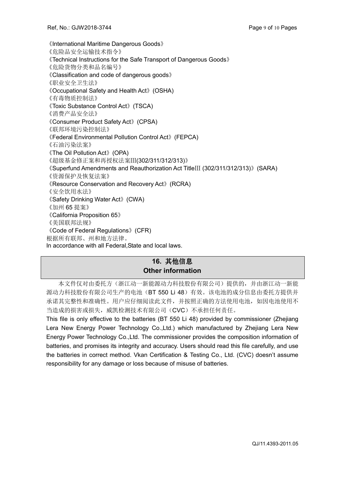《International Maritime Dangerous Goods》 《危险品安全运输技术指令》 《Technical Instructions for the Safe Transport of Dangerous Goods》 《危险货物分类和品名编号》 《Classification and code of dangerous goods》 《职业安全卫生法》 《Occupational Safety and Health Act》(OSHA) 《有毒物质控制法》 《Toxic Substance Control Act》(TSCA) 《消费产品安全法》 《Consumer Product Safety Act》(CPSA) 《联邦环境污染控制法》 《Federal Environmental Pollution Control Act》(FEPCA) 《石油污染法案》 《The Oil Pollution Act》(OPA) 《超级基金修正案和再授权法案Ⅲ(302/311/312/313)》 《Superfund Amendments and Reauthorization Act TitleⅢ (302/311/312/313)》(SARA) 《资源保护及恢复法案》 《Resource Conservation and Recovery Act》(RCRA) 《安全饮用水法》 《Safety Drinking Water Act》(CWA) 《加州 65 提案》 《California Proposition 65》 《美国联邦法规》 《Code of Federal Regulations》(CFR) 根据所有联邦、州和地方法律。 In accordance with all Federal,State and local laws.

## **16.** 其他信息 **Other information**

本文件仅对由委托方(浙江动一新能源动力科技股份有限公司)提供的,并由浙江动一新能 源动力科技股份有限公司生产的电池(BT 550 Li 48)有效。该电池的成分信息由委托方提供并 承诺其完整性和准确性。用户应仔细阅读此文件,并按照正确的方法使用电池,如因电池使用不 当造成的损害或损失,威凯检测技术有限公司(CVC)不承担任何责任。

This file is only effective to the batteries (BT 550 Li 48) provided by commissioner (Zhejiang Lera New Energy Power Technology Co.,Ltd.) which manufactured by Zhejiang Lera New Energy Power Technology Co.,Ltd. The commissioner provides the composition information of batteries, and promises its integrity and accuracy. Users should read this file carefully, and use the batteries in correct method. Vkan Certification & Testing Co., Ltd. (CVC) doesn't assume responsibility for any damage or loss because of misuse of batteries.